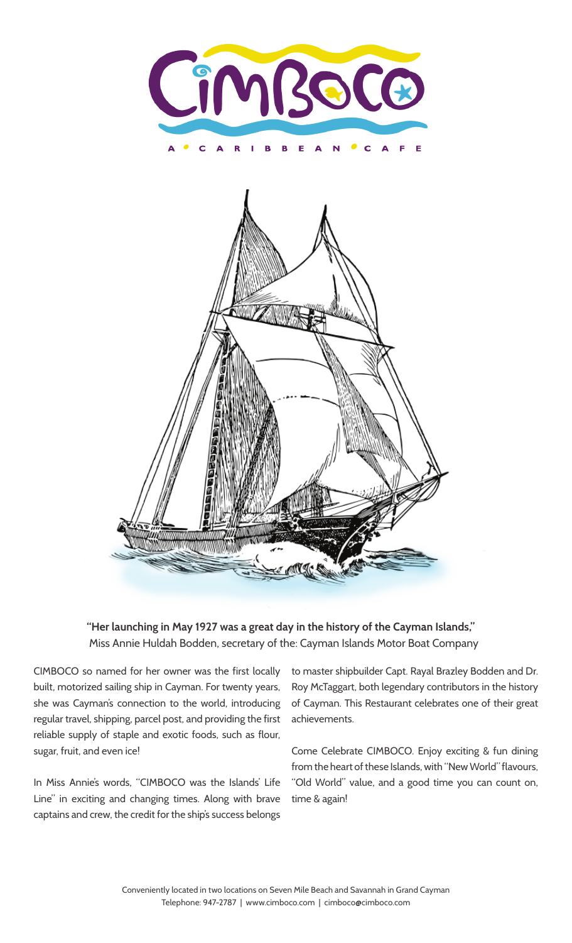



**"Her launching in May 1927 was a great day in the history of the Cayman Islands,"** Miss Annie Huldah Bodden, secretary of the: Cayman Islands Motor Boat Company

CIMBOCO so named for her owner was the first locally built, motorized sailing ship in Cayman. For twenty years, she was Cayman's connection to the world, introducing regular travel, shipping, parcel post, and providing the first reliable supply of staple and exotic foods, such as flour, sugar, fruit, and even ice!

In Miss Annie's words, "CIMBOCO was the Islands' Life Line" in exciting and changing times. Along with brave captains and crew, the credit for the ship's success belongs

to master shipbuilder Capt. Rayal Brazley Bodden and Dr. Roy McTaggart, both legendary contributors in the history of Cayman. This Restaurant celebrates one of their great achievements.

Come Celebrate CIMBOCO. Enjoy exciting & fun dining from the heart of these Islands, with "New World" flavours, "Old World" value, and a good time you can count on, time & again!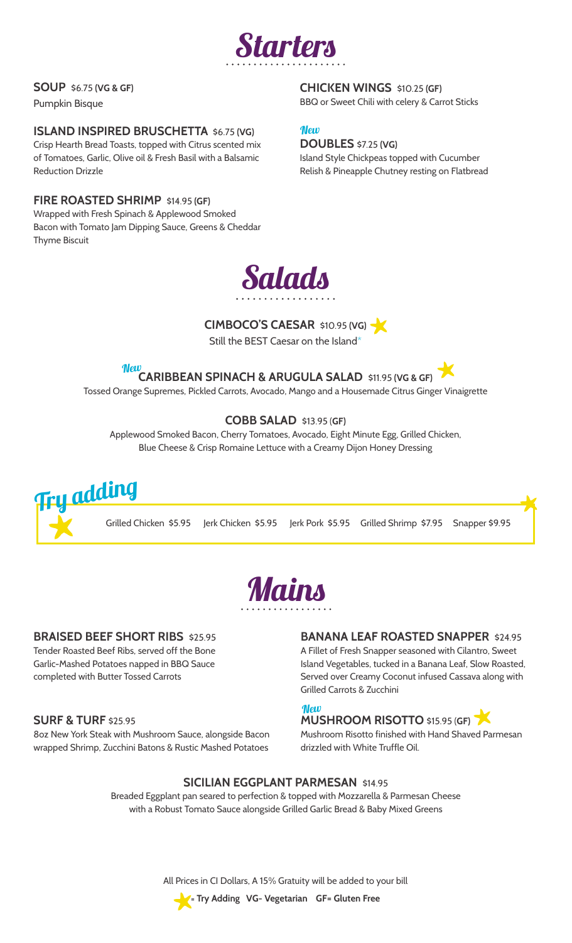

#### **SOUP** \$6.75 **(VG & GF)**

Pumpkin Bisque

#### **ISLAND INSPIRED BRUSCHETTA** \$6.75 **(VG)**

Crisp Hearth Bread Toasts, topped with Citrus scented mix of Tomatoes, Garlic, Olive oil & Fresh Basil with a Balsamic Reduction Drizzle

#### **FIRE ROASTED SHRIMP** \$14.95 **(GF)**

Wrapped with Fresh Spinach & Applewood Smoked Bacon with Tomato Jam Dipping Sauce, Greens & Cheddar Thyme Biscuit

**CHICKEN WINGS** \$10.25 **(GF)** BBQ or Sweet Chili with celery & Carrot Sticks

#### **Mew**

#### **DOUBLES** \$7.25 **(VG)**

Island Style Chickpeas topped with Cucumber Relish & Pineapple Chutney resting on Flatbread



#### **CIMBOCO'S CAESAR** \$10.95 **(VG)**

Still the BEST Caesar on the Island\*

**New** 

**CARIBBEAN SPINACH & ARUGULA SALAD** \$11.95 **(VG & GF)**

Tossed Orange Supremes, Pickled Carrots, Avocado, Mango and a Housemade Citrus Ginger Vinaigrette

#### **COBB SALAD** \$13.95 (**GF)**

Applewood Smoked Bacon, Cherry Tomatoes, Avocado, Eight Minute Egg, Grilled Chicken, Blue Cheese & Crisp Romaine Lettuce with a Creamy Dijon Honey Dressing





#### **BRAISED BEEF SHORT RIBS** \$25.95

Tender Roasted Beef Ribs, served off the Bone Garlic-Mashed Potatoes napped in BBQ Sauce completed with Butter Tossed Carrots

#### **SURF & TURF** \$25.95

8oz New York Steak with Mushroom Sauce, alongside Bacon wrapped Shrimp, Zucchini Batons & Rustic Mashed Potatoes

#### **BANANA LEAF ROASTED SNAPPER** \$24.95

A Fillet of Fresh Snapper seasoned with Cilantro, Sweet Island Vegetables, tucked in a Banana Leaf, Slow Roasted, Served over Creamy Coconut infused Cassava along with Grilled Carrots & Zucchini

### **Mew**

**MUSHROOM RISOTTO** \$15.95 (**GF)** Mushroom Risotto finished with Hand Shaved Parmesan

drizzled with White Truffle Oil.

#### **SICILIAN EGGPLANT PARMESAN** \$14.95

Breaded Eggplant pan seared to perfection & topped with Mozzarella & Parmesan Cheese with a Robust Tomato Sauce alongside Grilled Garlic Bread & Baby Mixed Greens

All Prices in CI Dollars, A 15% Gratuity will be added to your bill



**= Try Adding VG- Vegetarian GF= Gluten Free**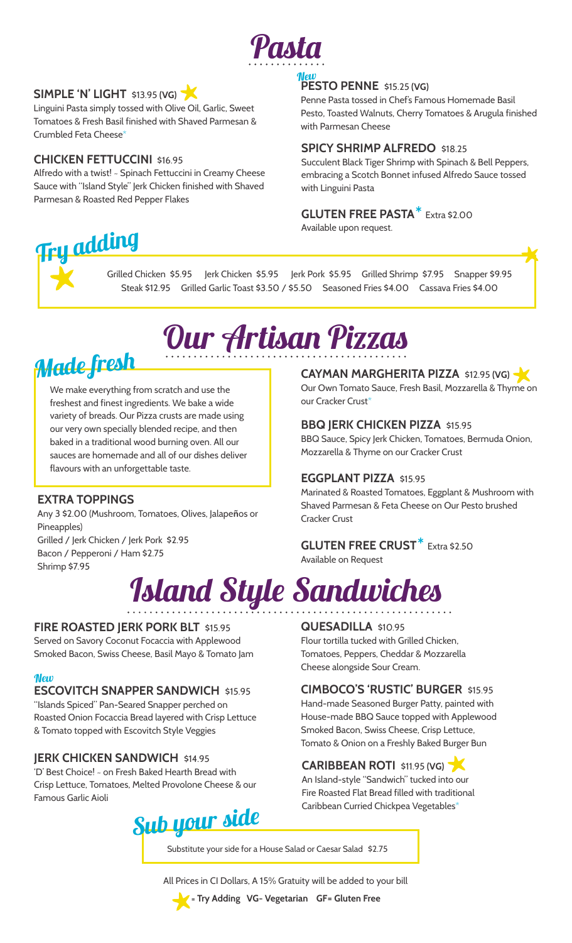

#### **SIMPLE 'N' LIGHT** \$13.95 **(VG)**

Linguini Pasta simply tossed with Olive Oil, Garlic, Sweet Tomatoes & Fresh Basil finished with Shaved Parmesan & Crumbled Feta Cheese<sup>\*</sup>

#### **CHICKEN FETTUCCINI** \$16.95

Alfredo with a twist! ~ Spinach Fettuccini in Creamy Cheese Sauce with "Island Style" Jerk Chicken finished with Shaved Parmesan & Roasted Red Pepper Flakes

#### **PESTO PENNE** \$15.25 **(VG)** New

Penne Pasta tossed in Chef's Famous Homemade Basil Pesto, Toasted Walnuts, Cherry Tomatoes & Arugula finished with Parmesan Cheese

#### **SPICY SHRIMP ALFREDO** \$18.25

Succulent Black Tiger Shrimp with Spinach & Bell Peppers, embracing a Scotch Bonnet infused Alfredo Sauce tossed with Linguini Pasta

#### **GLUTEN FREE PASTA**\* Extra \$2.00

Available upon request.

# Try adding

Grilled Chicken \$5.95 Jerk Chicken \$5.95 Jerk Pork \$5.95 Grilled Shrimp \$7.95 Snapper \$9.95 Steak \$12.95 Grilled Garlic Toast \$3.50 / \$5.50 Seasoned Fries \$4.00 Cassava Fries \$4.00

# Our Artisan Pizzas

### Made fresh

We make everything from scratch and use the freshest and finest ingredients. We bake a wide variety of breads. Our Pizza crusts are made using our very own specially blended recipe, and then baked in a traditional wood burning oven. All our sauces are homemade and all of our dishes deliver flavours with an unforgettable taste.

#### **EXTRA TOPPINGS**

Any 3 \$2.00 (Mushroom, Tomatoes, Olives, Jalapeños or Pineapples) Grilled / Jerk Chicken / Jerk Pork \$2.95 Bacon / Pepperoni / Ham \$2.75 Shrimp \$7.95

### **CAYMAN MARGHERITA PIZZA** \$12.95 **(VG)**

Our Own Tomato Sauce, Fresh Basil, Mozzarella & Thyme on our Cracker Crust\*

#### **BBQ JERK CHICKEN PIZZA** \$15.95

BBQ Sauce, Spicy Jerk Chicken, Tomatoes, Bermuda Onion, Mozzarella & Thyme on our Cracker Crust

#### **EGGPLANT PIZZA** \$15.95

Marinated & Roasted Tomatoes, Eggplant & Mushroom with Shaved Parmesan & Feta Cheese on Our Pesto brushed Cracker Crust

### **GLUTEN FREE CRUST**\* Extra \$2.50

Available on Request

# Island Style Sandwiches

#### **FIRE ROASTED JERK PORK BLT** \$15.95

Served on Savory Coconut Focaccia with Applewood Smoked Bacon, Swiss Cheese, Basil Mayo & Tomato Jam

#### **New**

#### **ESCOVITCH SNAPPER SANDWICH** \$15.95

"Islands Spiced" Pan-Seared Snapper perched on Roasted Onion Focaccia Bread layered with Crisp Lettuce & Tomato topped with Escovitch Style Veggies

#### **IERK CHICKEN SANDWICH \$14.95**

'D' Best Choice! ~ on Fresh Baked Hearth Bread with Crisp Lettuce, Tomatoes, Melted Provolone Cheese & our Famous Garlic Aioli

### Sub your side

#### **QUESADILLA** \$10.95

Flour tortilla tucked with Grilled Chicken, Tomatoes, Peppers, Cheddar & Mozzarella Cheese alongside Sour Cream.

#### **CIMBOCO'S 'RUSTIC' BURGER** \$15.95

Hand-made Seasoned Burger Patty, painted with House-made BBQ Sauce topped with Applewood Smoked Bacon, Swiss Cheese, Crisp Lettuce, Tomato & Onion on a Freshly Baked Burger Bun

#### **CARIBBEAN ROTI \$11.95 (VG)**

An Island-style "Sandwich" tucked into our Fire Roasted Flat Bread filled with traditional Caribbean Curried Chickpea Vegetables\*

Substitute your side for a House Salad or Caesar Salad\$2.75

All Prices in CI Dollars, A 15% Gratuity will be added to your bill



**= Try Adding VG- Vegetarian GF= Gluten Free**